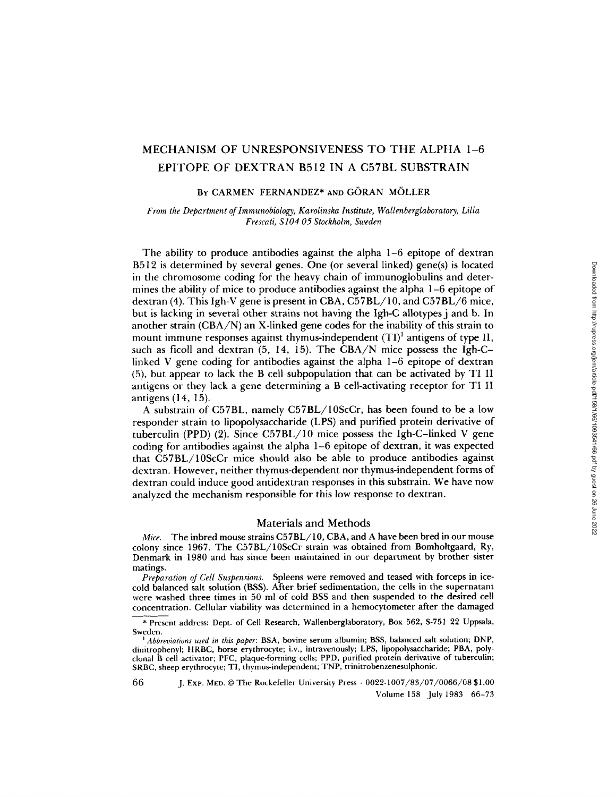# MECHANISM OF UNRESPONSIVENESS TO THE ALPHA 1-6 EPITOPE OF DEXTRAN B512 IN A C57BL SUBSTRAIN

## BY CARMEN FERNANDEZ\* AND GÖRAN MÖLLER

*From the Department of Immunobiology, Karolinska Institute, WaUenberglaboratory, Lilta Frescati, S104 05 Stockholm, Sweden* 

The ability to produce antibodies against the alpha 1-6 epitope of dextran B512 is determined by several genes. One (or several linked) gene(s) is located in the chromosome coding for the heavy chain of immunoglobulins and determines the ability of mice to produce antibodies against the alpha 1-6 epitope of dextran (4). This Igh-V gene is present in CBA, C57BL/10, and C57BL/6 mice, but is lacking in several other strains not having the Igh-C allotypes j and b. In another strain (CBA/N) an X-linked gene codes for the inability of this strain to mount immune responses against thymus-independent  $(TI)^1$  antigens of type II, such as ficoll and dextran (5, 14, 15). The CBA/N mice possess the Igh-Clinked V gene coding for antibodies against the alpha 1-6 epitope of dextran (5), but appear to lack the B cell subpopulation that can be activated by TI lI antigens or they lack a gene determining a B cell-activating receptor for TIII antigens (14, 15).

A substrain of C57BL, namely C57BL/10ScCr, has been found to be a low responder strain to lipopolysaccharide (LPS) and purified protein derivative of tuberculin (PPD) (2). Since C57BL/10 mice possess the Igh-C-linked V gene coding for antibodies against the alpha 1-6 epitope of dextran, it was expected that C57BL/10ScCr mice should also be able to produce antibodies against dextran. However, neither thymus-dependent nor thymus-independent forms of dextran could induce good antidextran responses in this substrain. We have now analyzed the mechanism responsible for this low response to dextran.

## Materials and Methods

*Mice.* The inbred mouse strains C57BL/10, CBA, and A have been bred in our mouse colony since 1967. The C57BL/10ScCr strain was obtained from Bomholtgaard, Ry, Denmark in 1980 and has since been maintained in our department by brother sister matings.

*Preparation of Cell Suspensions.* Spleens were removed and teased with forceps in icecold balanced salt solution (BSS). After brief sedimentation, the cells in the supernatant were washed three times in 50 ml of cold BSS and then suspended to the desired cell concentration. Cellular viability was determined in a hemocytometer after the damaged

\* Present address: Dept. of Cell Research, Wallenberglaboratory, Box 562, S-751 22 Uppsala, Sweden.

*l Abbreviations used in this paper:* BSA, bovine serum albumin; BSS, balanced salt solution; DNP, dinitrophenyl; HRBC, horse erythrocyte; i.v., intravenously; LPS, lipopolysaccharide; PBA, polyclonal B cell activator; PFC, plaque-forming cells; PPD, purified protein derivative of tuberculin; SRBC, sheep erythrocyte; TI, thymus-independent; TNP, trinitrobenzenesulphonic.

66 J. Exp. MED. © The Rockefeller University Press • 0022-1007/83/07/0066/08 \$1.00 Volume 158 July 1983 66-73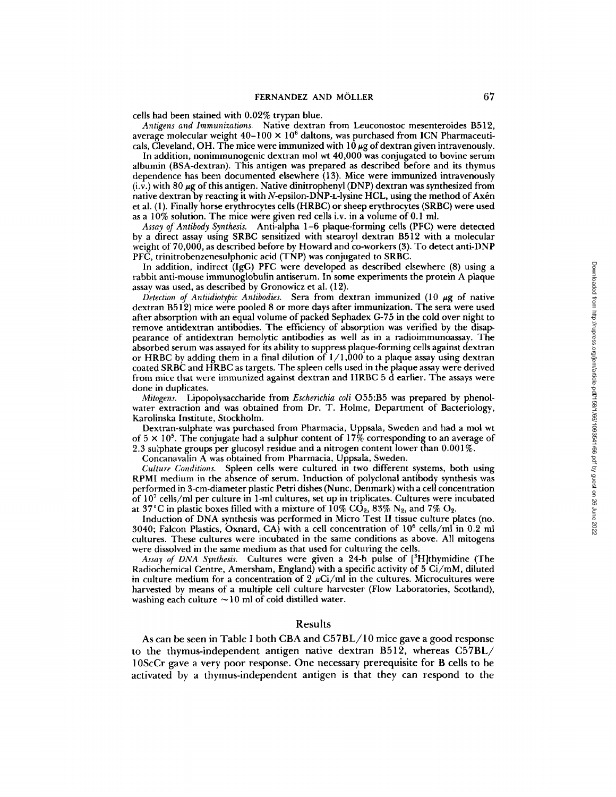cells had been stained with 0.02% trypan blue.

*Antigens and Immunizations.* Native dextran from Leuconostoc mesenteroides B512, average molecular weight  $40-100 \times 10^6$  daltons, was purchased from ICN Pharmaceuticals, Cleveland, OH. The mice were immunized with  $10 \mu$ g of dextran given intravenously.

In addition, nonimmunogenic dextran mol wt  $40,000$  was conjugated to bovine serum albumin (BSA-dextran). This antigen was prepared as described before and its thymus dependence has been documented elsewhere (13). Mice were immunized intravenously  $(i.v.)$  with 80  $\mu$ g of this antigen. Native dinitrophenyl (DNP) dextran was synthesized from native dextran by reacting it with N-epsilon-DNP-L-lysine HCL, using the method of Axén et al. (1). Finally horse erythrocytes cells (HRBC) or sheep erythrocytes (SRBC) were used as a 10% solution. The mice were given red cells i.v. in a volume of 0.1 ml.

*Assay of Antibody Synthesis.* Anti-alpha 1-6 plaque-forming cells (PFC) were detected by a direct assay using SRBC sensitized with stearoyl dextran B512 with a molecular weight of 70,000, as described before by Howard and co-workers (3). To detect anti-DNP PFC, trinitrobenzenesulphonic acid (TNP) was conjugated to SRBC.

In addition, indirect (IgG) PFC were developed as described elsewhere (8) using a rabbit anti-mouse immunoglobulin antiserum. In some experiments the protein A plaque assay was used, as described by Gronowicz et al. (12).

*Detection of Antiidiotypic Antibodies.* Sera from dextran immunized (10 μg of native dextran B512) mice were pooled 8 or more days after immunization. The sera were used after absorption with an equal volume of packed Sephadex G-75 in the cold over night to remove antidextran antibodies. The efficiency of absorption was verified by the disappearance of antidextran hemolytic antibodies as well as in a radioimmunoassay. The absorbed serum was assayed for its ability to suppress plaque-forming cells against dextran or HRBC by adding them in a final dilution of  $1/1,000$  to a plaque assay using dextran coated SRBC and HRBC as targets. The spleen cells used in the plaque assay were derived from mice that were immunized against dextran and HRBC 5 d earlier. The assays were done in duplicates.

*Mitogens.* Lipopolysaccharide from *Escherichia coIi* O55:B5 was prepared by phenolwater extraction and was obtained from Dr. T. Holme, Department of Bacteriology, Karolinska Institute, Stockholm.

Dextran-sulphate was purchased from Pharmacia, Uppsala, Sweden and had a moi wt of  $5 \times 10^5$ . The conjugate had a sulphur content of 17% corresponding to an average of 2.3 sulphate groups per glucosyl residue and a nitrogen content lower than 0.001%.

Concanavalin A was obtained from Pharmacia, Uppsala, Sweden.

*Culture Conditions.* Spleen cells were cultured in two different systems, both using RPMI medium in the absence of serum. Induction of polyclonal antibody synthesis was performed in 3-cm-diameter plastic Petri dishes (Nunc, Denmark) with a cell concentration of 107 cells/ml per culture in 1-ml cultures, set up in triplicates. Cultures were incubated at 37°C in plastic boxes filled with a mixture of  $10\%$  CO<sub>2</sub>, 83% N<sub>2</sub>, and 7% O<sub>2</sub>.

Induction of DNA synthesis was performed in Micro Test II tissue culture plates (no. 3040; Falcon Plastics, Oxnard,  $CA$ ) with a cell concentration of  $10^6$  cells/ml in 0.2 ml cultures. These cultures were incubated in the same conditions as above. All mitogens were dissolved in the same medium as that used for culturing the cells.

*Assay of DNA Synthesis.* Cultures were given a 24-h pulse of [<sup>3</sup>H]thymidine (The Radiochemicai Centre, Amersham, England) with a specific activity of 5 Ci/mM, diluted in culture medium for a concentration of 2  $\mu$ Ci/ml in the cultures. Microcultures were harvested by means of a multiple cell culture harvester (Flow Laboratories, Scotland), washing each culture  $\sim 10$  ml of cold distilled water.

## Results

As can be seen in Table I both CBA and C57BL/10 mice gave a good response to the thymus-independent antigen native dextran B512, whereas C57BL/ 10ScCr gave a very poor response. One necessary prerequisite for B cells to be activated by a thymus-independent antigen is that they can respond to the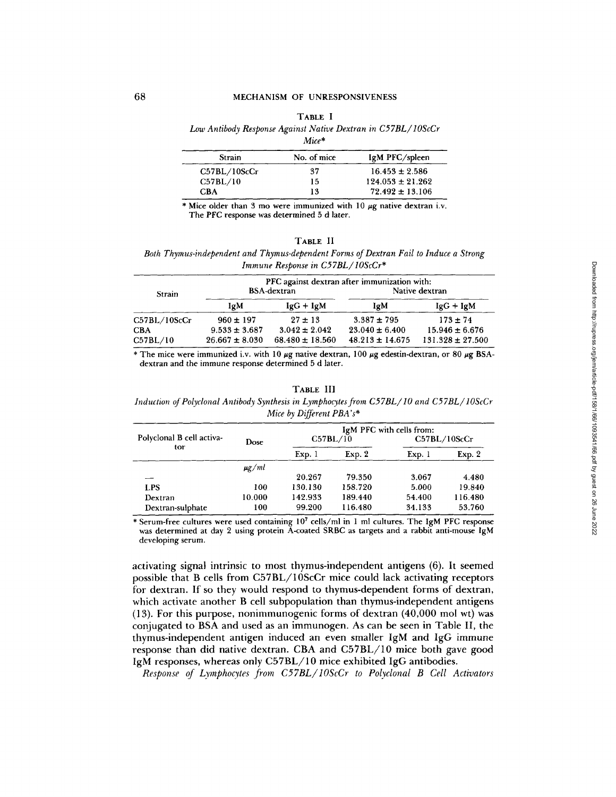#### TABLE I

### *Low Antibody Response Against Native Dextran in C57BL/ lOScCr*

*Mice\** 

| Strain       | No. of mice | IgM PFC/spleen       |
|--------------|-------------|----------------------|
| C57BL/10ScCr | 37          | $16.453 \pm 2.586$   |
| C57BL/10     | 15          | $124.053 \pm 21.262$ |
| <b>CBA</b>   | 13          | $72.492 \pm 13.106$  |

\* Mice older than 3 mo were immunized with 10  $\mu$ g native dextran i.v. The PFC response was determined 5 d later.

#### **TABLE** II

*Both Thymus-independent and Thymus-dependent Forms of Dextran Fail to Induce a Strong Immune Response in C57BL/10ScCr\** 

| Strain       | PFC against dextran after immunization with:<br>Native dextran<br>BSA-dextran |                     |                     |                      |  |
|--------------|-------------------------------------------------------------------------------|---------------------|---------------------|----------------------|--|
|              | IgM                                                                           | $IgG + IgM$         | IgM                 | $IgG + IgM$          |  |
| C57BL/10ScCr | $960 \pm 197$                                                                 | $27 \pm 13$         | $3.387 \pm 795$     | $173 \pm 74$         |  |
| <b>CBA</b>   | $9.533 \pm 3.687$                                                             | $3.042 \pm 2.042$   | $23.040 \pm 6.400$  | $15.946 \pm 6.676$   |  |
| C57BL/10     | $26.667 \pm 8.030$                                                            | $68.480 \pm 18.560$ | $48.213 \pm 14.675$ | $131.328 \pm 27.500$ |  |

\* The mice were immunized i.v. with 10  $\mu$ g native dextran, 100  $\mu$ g edestin-dextran, or 80  $\mu$ g BSAdextran and the immune response determined 5 d later.

TABLE III

*Induction of Polyclonal Antibody Synthesis in Lymphocytes from C57BL/10 and C57BL/10ScCr Mice by Different PBA's\** 

|                           |            |         |          | IgM PFC with cells from: |              |
|---------------------------|------------|---------|----------|--------------------------|--------------|
| Polyclonal B cell activa- | Dose       |         | C57BL/10 |                          | C57BL/10ScCr |
| tor                       |            | Exp.1   | Exp. 2   | Exp.1                    | Exp. 2       |
|                           | $\mu$ g/ml |         |          |                          |              |
|                           |            | 20.267  | 79.350   | 3.067                    | 4.480        |
| <b>LPS</b>                | 100        | 130.130 | 158.720  | 5.000                    | 19.840       |
| Dextran                   | 10.000     | 142.933 | 189.440  | 54.400                   | 116.480      |
| Dextran-sulphate          | 100        | 99.200  | 116.480  | 34.133                   | 53.760       |

\* Serum-free cultures were used containing  $10<sup>7</sup>$  cells/ml in 1 ml cultures. The IgM PFC response was determined at day 2 using protein A-coated SRBC as targets and a rabbit anti-mouse lgM developing serum.

activating signal intrinsic to most thymus-independent antigens (6). It seemed possible that B cells from C57BL/10ScCr mice could lack activating receptors for dextran. If so they would respond to thymus-dependent forms of dextran, which activate another B cell subpopulation than thymus-independent antigens (13). For this purpose, nonimmunogenic forms of dextran (40,000 mol wt) was conjugated to BSA and used as an immunogen. As can be seen in Table II, the thymus-independent antigen induced an even smaller IgM and IgG immune response than did native dextran. CBA and C57BL/10 mice both gave good IgM responses, whereas only C57BL/10 mice exhibited IgG antibodies.

*Response of Lymphocytes from C57BL/IOScCr to Polyclonal B Cell Activators*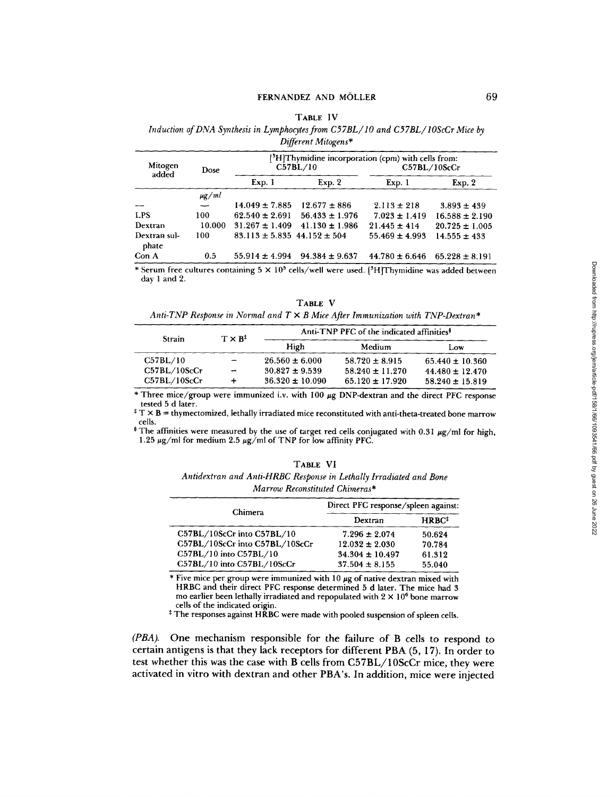# FERNANDEZ AND MÖLLER 69

#### TABLE IV

*Induction of DNA Synthesis in Lymphocytes from C57BL/ IO and C57BL/ IOScCr Mice by Different Mitogens\** 

|                          |                          | [ <sup>3</sup> H]Thymidine incorporation (cpm) with cells from: |                    |                    |                    |  |  |
|--------------------------|--------------------------|-----------------------------------------------------------------|--------------------|--------------------|--------------------|--|--|
| Mitogen<br>Dose<br>added |                          |                                                                 | C57BL/10           |                    | C57BL/10ScCr       |  |  |
|                          |                          | Exp. 1                                                          | Exp. 2             | Exp. 1             | Exp. 2             |  |  |
|                          | $\mu$ g/ml               |                                                                 |                    |                    |                    |  |  |
| --                       | $\overline{\phantom{0}}$ | $14.049 \pm 7.885$                                              | $12.677 \pm 886$   | $2.113 \pm 218$    | $3.893 \pm 439$    |  |  |
| <b>LPS</b>               | 100                      | $62.540 \pm 2.691$                                              | $56.433 \pm 1.976$ | $7.023 \pm 1.419$  | $16.588 \pm 2.190$ |  |  |
| Dextran                  | 10.000                   | $31.267 \pm 1.409$                                              | $41.130 \pm 1.986$ | $21.445 \pm 414$   | $20.725 \pm 1.005$ |  |  |
| Dextran sul-<br>phate    | 100                      | $83.113 \pm 5.835$ 44.152 $\pm$ 504                             |                    | $55.469 \pm 4.993$ | $14.555 \pm 433$   |  |  |
| Con A                    | 0.5                      | $55.914 \pm 4.994$                                              | $94.384 \pm 9.637$ | $44.780 \pm 6.646$ | $65.228 \pm 8.191$ |  |  |

\* Serum free cultures containing  $5 \times 10^5$  cells/well were used. [<sup>3</sup>H]Thymidine was added between day 1 and 2.

**TABLE V**  *Anti-TNP Response in Normal and T X B Mice After Immunization with TNP-Dextran\** 

| Strain       | $T \times B^{\ddagger}$ | Anti-TNP PFC of the indicated affinities <sup>\$</sup> |                     |                     |
|--------------|-------------------------|--------------------------------------------------------|---------------------|---------------------|
|              |                         | High                                                   | Medium              | Low                 |
| C57BL/10     | --                      | $26.560 \pm 6.000$                                     | $58.720 \pm 8.915$  | $65.440 \pm 10.360$ |
| C57BL/10ScCr | -                       | $30.827 \pm 9.539$                                     | $58.240 \pm 11.270$ | $44.480 \pm 12.470$ |
| C57BL/10ScCr |                         | $36.320 \pm 10.090$                                    | $65.120 \pm 17.920$ | $58.240 \pm 15.819$ |

\* Three mice/group were immunized i.v. with 100 µg DNP-dextran and the direct PFC response tested 5 d later.

 $^{\ddagger}$  T  $\times$  B = thymectomized, lethally irradiated mice reconstituted with anti-theta-treated bone marrow cells.

The affinities were measured by the use of target red cells conjugated with  $0.31 \mu$ g/ml for high, 1.25  $\mu$ g/ml for medium 2.5  $\mu$ g/ml of TNP for low affinity PFC.

| TABLE VI                                                           |  |
|--------------------------------------------------------------------|--|
| Antidextran and Anti-HRBC Response in Lethally Irradiated and Bone |  |

*Marrow Reconstituted Chimeras\** 

| Chimera                        | Direct PFC response/spleen against: |                                          |  |  |
|--------------------------------|-------------------------------------|------------------------------------------|--|--|
|                                | Dextran                             | $H$ RBC <sup><math>\ddagger</math></sup> |  |  |
| C57BL/10ScCr into C57BL/10     | $7.296 \pm 2.074$                   | 50.624                                   |  |  |
| C57BL/10ScCr into C57BL/10ScCr | $12.032 \pm 2.030$                  | 70.784                                   |  |  |
| C57BL/10 into C57BL/10         | $34.304 \pm 10.497$                 | 61.312                                   |  |  |
| C57BL/10 into C57BL/10ScCr     | $37.504 \pm 8.155$                  | 55.040                                   |  |  |

 $*$  Five mice per group were immunized with 10  $\mu$ g of native dextran mixed with HRBC and their direct PFC response determined 5 d later. The mice had 3 mo earlier been lethally irradiated and repopulated with  $2 \times 10^6$  bone marrow cells of the indicated origin.

<sup>‡</sup> The responses against HRBC were made with pooled suspension of spleen cells.

*(PBA).* One mechanism responsible for the failure of B cells to respond to certain antigens is that they lack receptors for different PBA (5, 17). In order to test whether this was the case with B cells from C57BL/10ScCr mice, they were activated in vitro with dextran and other PBA's. In addition, mice were injected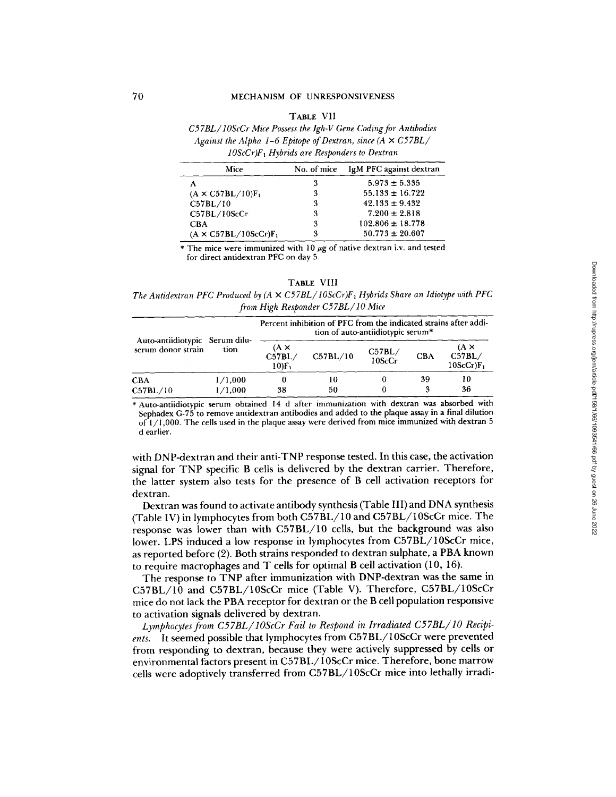## **TABLE** VII

*C57BL /10ScCr Mice Possess the Igh-V Gene Coding for Antibodies Against the Alpha 1-6 Epitope of Dextran, since (A × C57BL/ IOScCr)F~ Hybrids are Responders to Dextran* 

| Mice                         | No. of mice | IgM PFC against dextran |
|------------------------------|-------------|-------------------------|
|                              | 3           | $5.973 \pm 5.335$       |
| $(A \times C57BL/10)F_1$     | 3           | $55.133 \pm 16.722$     |
| C57BL/10                     | 3           | $42.133 \pm 9.432$      |
| C57BL/10ScCr                 | 3           | $7.200 \pm 2.818$       |
| <b>CBA</b>                   | 3           | $102.806 \pm 18.778$    |
| $(A \times C57BL/10ScCr)F_1$ | 3           | $50.773 \pm 20.607$     |

\* The mice were immunized with 10  $\mu$ g of native dextran i.v. and tested for direct antidextran PFC on day 5.

| <b>ARLE</b> | VIH |
|-------------|-----|
|-------------|-----|

*The Antidextran PFC Produced by (A*  $\times$  *C57BL/10ScCr)F<sub>1</sub> Hybrids Share an Idiotype with PFC from High Responder C57BL/ IO Mice* 

| Auto-antiidiotypic Serum dilu-<br>serum donor strain |                    | Percent inhibition of PFC from the indicated strains after addi-<br>tion of auto-antiidiotypic serum* |          |                  |            |                                       |
|------------------------------------------------------|--------------------|-------------------------------------------------------------------------------------------------------|----------|------------------|------------|---------------------------------------|
|                                                      | tion               | $($ A $\times$<br>C57BL/<br>$10$ F                                                                    | C57BL/10 | C57BL/<br>10ScCr | <b>CBA</b> | $(A \times$<br>C57BL/<br>$10SCCr)F_1$ |
| <b>CBA</b><br>C57BL/10                               | 1/1,000<br>1/1,000 | 38                                                                                                    | 10<br>50 |                  | 39         | 10<br>36                              |

\* Auto-antiidiotypic serum obtained 14 d after immunization with dextran was absorbed with Sephadex G-75 to remove antidextran antibodies and added to the plaque assay in a final dilution of  $1/1,000$ . The cells used in the plaque assay were derived from mice immunized with dextran 5 d earlier.

with DNP-dextran and their anti-TNP response tested. In this case, the activation signal for TNP specific B cells is delivered by the dextran carrier. Therefore, the latter system also tests for the presence of B cell activation receptors for dextran.

Dextran was found to activate antibody synthesis (Table III) and DNA synthesis (Table IV) in lymphocytes from both C57BL/10 and C57BL/10ScCr mice. The response was lower than with C57BL/10 cells, but the background was also lower. LPS induced a low response in lymphocytes from C57BL/10ScCr mice, as reported before (2). Both strains responded to dextran sulphate, a PBA known to require macrophages and T cells for optimal B cell activation (10, 16).

The response to TNP after immunization with DNP-dextran was the same in C57BL/10 and C57BL/10ScCr mice (Table V). Therefore, C57BL/10ScCr mice do not lack the PBA receptor for dextran or the B cell population responsive to activation signals delivered by dextran.

*Lymphocytes from C57BL/ lOScCr Fail to Respond in Irradiated C57BL/ lO Recipients.* It seemed possible that lymphocytes from C57BL/10ScCr were prevented from responding to dextran, because they were actively suppressed by cells or environmental factors present in C57BL/10ScCr mice. Therefore, bone marrow cells were adoptively transferred from C57BL/10ScCr mice into lethally irradiDownloaded from http://rupress.org/jem/article-pdf/158/1/66/1093541/66.pdf by guest on 26 June 2022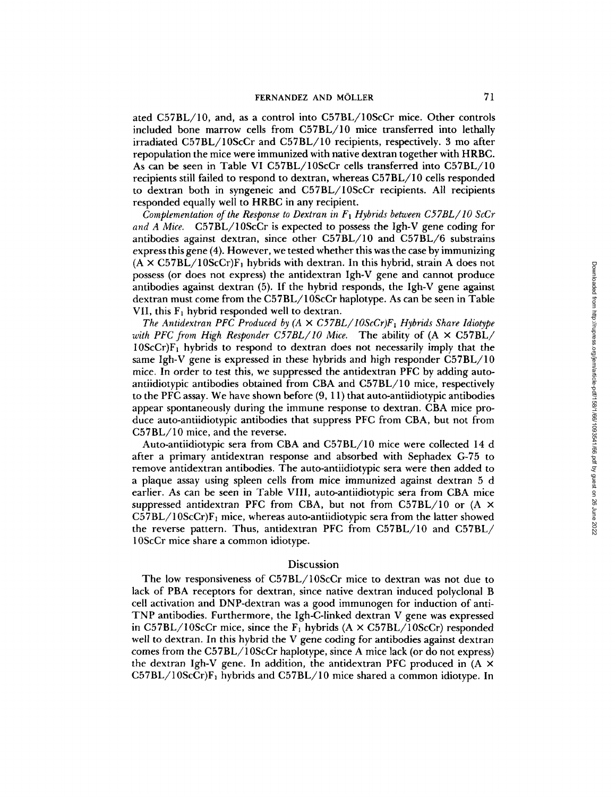ated C57BL/10, and, as a control into C57BL/10ScCr mice. Other controls included bone marrow cells from C57BL/10 mice transferred into lethally irradiated C57BL/10ScCr and C57BL/10 recipients, respectively. 3 mo after repopulation the mice were immunized with native dextran together with HRBC. As can be seen in Table VI C57BL/10ScCr cells transferred into C57BL/10 recipients still failed to respond to dextran, whereas C57BL/10 cells responded to dextran both in syngeneic and C57BL/10ScCr recipients. All recipients responded equally well to HRBC in any recipient.

*Complementation of the Response to Dextran in Fl Hybrids between C57BL/ lO ScCr and A Mice.* C57BL/10ScCr is expected to possess the Igh-V gene coding for antibodies against dextran, since other C57BL/10 and C57BL/6 substrains express this gene (4). However, we tested whether this was the case by immunizing  $(A \times C57BL/10ScCr)F<sub>1</sub>$  hybrids with dextran. In this hybrid, strain A does not possess (or does not express) the antidextran Igh-V gene and cannot produce antibodies against dextran (5). If the hybrid responds, the Igh-V gene against dextran must come from the C57BL/10ScCr haplotype. As can be seen in Table VII, this  $F_1$  hybrid responded well to dextran.

*The Antidextran PFC Produced by (A*  $\times$  *C57BL/10ScCr)F<sub>1</sub> Hybrids Share Idiotype with PFC from High Responder C57BL/lO Mice.* The ability of (A × C57BL/  $10$ ScCr) $F_1$  hybrids to respond to dextran does not necessarily imply that the same Igh-V gene is expressed in these hybrids and high responder C57BL/10 mice. In order to test this, we suppressed the antidextran PFC by adding autoantiidiotypic antibodies obtained from CBA and C57BL/10 mice, respectively to the PFC assay. We have shown before (9, 11) that auto-antiidiotypic antibodies appear spontaneously during the immune response to dextran. CBA mice produce auto-antiidiotypic antibodies that suppress PFC from CBA, but not from C57BL/10 mice, and the reverse.

Auto-antiidiotypic sera from CBA and C57BL/10 mice were collected 14 d after a primary antidextran response and absorbed with Sephadex G-75 to remove antidextran antibodies. The auto-antiidiotypic sera were then added to a plaque assay using spleen cells from mice immunized against dextran 5 d earlier. As can be seen in Table VIII, auto-antiidiotypic sera from CBA mice suppressed antidextran PFC from CBA, but not from C57BL/10 or  $(A \times$  $C57BL/10ScCr$ F<sub>1</sub> mice, whereas auto-antiidiotypic sera from the latter showed the reverse pattern. Thus, antidextran PFC from C57BL/10 and C57BL/ 10ScCr mice share a common idiotype.

# Discussion

The low responsiveness of C57BL/10ScCr mice to dextran was not due to lack of PBA receptors for dextran, since native dextran induced polyclonal B cell activation and DNP-dextran was a good immunogen for induction of anti-TNP antibodies. Furthermore, the Igh-C-linked dextran V gene was expressed in C57BL/10ScCr mice, since the  $F_1$  hybrids (A  $\times$  C57BL/10ScCr) responded well to dextran. In this hybrid the V gene coding for antibodies against dextran comes from the C57BL/10ScCr haplotype, since A mice lack (or do not express) the dextran Igh-V gene. In addition, the antidextran PFC produced in  $(A \times$  $C57BL/10ScCr$ F<sub>1</sub> hybrids and  $C57BL/10$  mice shared a common idiotype. In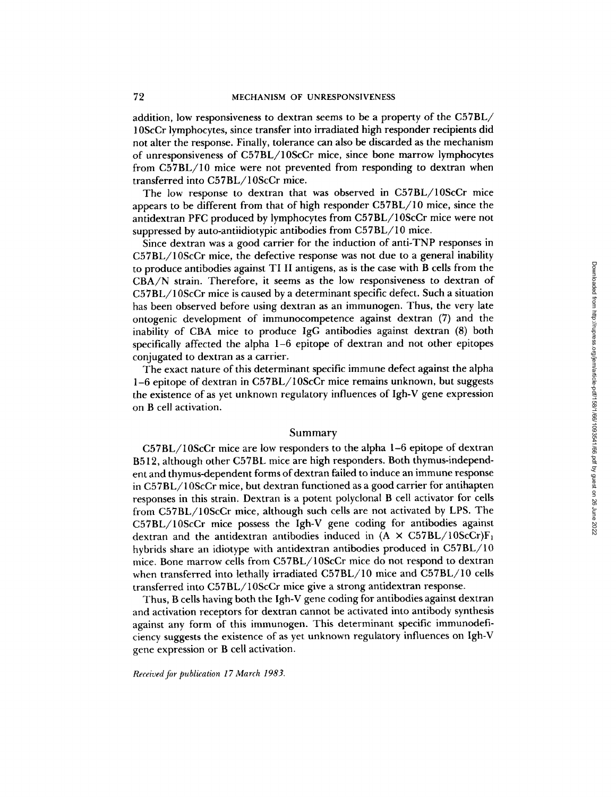addition, low responsiveness to dextran seems to be a property of the C57BL/ 10ScCr lymphocytes, since transfer into irradiated high responder recipients did not alter the response. Finally, tolerance can also be discarded as the mechanism of unresponsiveness of C57BL/10ScCr mice, since bone marrow lymphocytes from C57BL/10 mice were not prevented from responding to dextran when transferred into C57BL/10ScCr mice.

The low response to dextran that was observed in C57BL/10ScCr mice appears to be different from that of high responder C57BL/10 mice, since the antidextran PFC produced by lymphocytes from C57BL/10ScCr mice were not suppressed by auto-antiidiotypic antibodies from C57BL/10 mice.

Since dextran was a good carrier for the induction of anti-TNP responses in C57BL/10ScCr mice, the defective response was not due to a general inability to produce antibodies against TIII antigens, as is the case with B cells from the CBA/N strain. Therefore, it seems as the low responsiveness to dextran of C57BL/10ScCr mice is caused by a determinant specific defect. Such a situation has been observed before using dextran as an immunogen. Thus, the very late ontogenic development of immunocompetence against dextran (7) and the inability of CBA mice to produce IgG antibodies against dextran (8) both specifically affected the alpha 1-6 epitope of dextran and not other epitopes conjugated to dextran as a carrier.

The exact nature of this determinant specific immune defect against the alpha **1-6** epitope of dextran in C57BL/10ScCr mice remains unknown, but suggests the existence of as yet unknown regulatory influences of Igh-V gene expression on B cell activation.

## Summary

C57BL/10ScCr mice are low responders to the alpha 1-6 epitope of dextran B512, although other C57BL mice are high responders. Both thymus-independent and thymus-dependent forms of dextran failed to induce an immune response in C57BL/10ScCr mice, but dextran functioned as a good carrier for antihapten responses in this strain. Dextran is a potent polyclonal B cell activator for cells from C57BL/10ScCr mice, although such cells are not activated by LPS. The C57BL/10ScCr mice possess the Igh-V gene coding for antibodies against dextran and the antidextran antibodies induced in  $(A \times C57BL/10ScCr)F_1$ hybrids share an idiotype with antidextran antibodies produced in C57BL/10 mice. Bone marrow cells from C57BL/10ScCr mice do not respond to dextran when transferred into lethally irradiated C57BL/10 mice and C57BL/10 cells transferred into C57BL/10ScCr mice give a strong antidextran response.

Thus, B cells having both the Igh-V gene coding for antibodies against dextran and activation receptors for dextran cannot be activated into antibody synthesis against any form of this immunogen. This determinant specific immunodeficiency suggests the existence of as yet unknown regulatory influences on Igh-V gene expression or B cell activation.

*Received for publication 17 March 1983.*